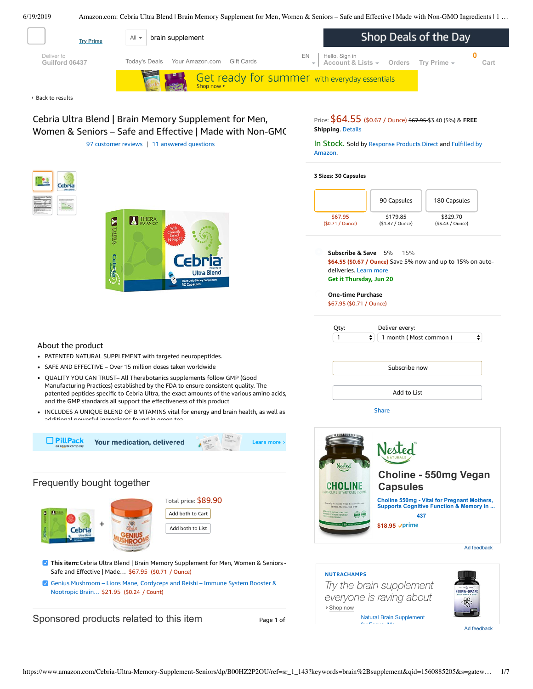<span id="page-0-0"></span>

Cebria Ultra Blend | Brain Memory Supplement for Men, Women & Seniors – Safe and Effective | Made with Non-GMC 97 [customer](#page-3-0) reviews | 11 answered [questions](#page-3-1)

**THERA** 

**EN THERA** 

Cebria

Price: \$64.55 (\$0.67 / Ounce) \$67.95 \$3.40 (5%) & **FREE Shipping**. [Details](https://www.amazon.com/gp/help/customer/display.html?ie=UTF8&pop-up=1&nodeId=527692)

In [Stock.](https://www.amazon.com/gp/help/customer/display.html?ie=UTF8&ref=dp_fulfillment&nodeId=106096011) Sold by [Response](https://www.amazon.com/gp/help/seller/at-a-glance.html/ref=dp_merchant_link?ie=UTF8&seller=A1JDH40OSN6X8V&isAmazonFulfilled=1) Products Direct and Fulfilled by Amazon.

**3 Sizes: 30 Capsules**



**Subscribe & Save \$64.55 (\$0.67 / Ounce)** Save 5% now and up to 15% on autodeliveries. Learn more **Get it Thursday, Jun 20** 5% 15%

**One-time Purchase** \$67.95 (\$0.71 / Ounce)

| Qty: | Deliver every:                  |        |
|------|---------------------------------|--------|
| 1    | $\div$<br>1 month (Most common) | ▲<br>▼ |
|      |                                 |        |
|      | Subscribe now                   |        |
|      |                                 |        |
|      | Add to List                     |        |
|      | <b>Share</b>                    |        |



**This item:** Cebria Ultra Blend | Brain Memory Supplement for Men, Women & Seniors – Safe and Effective | Made… \$67.95 (\$0.71 / Ounce)

Total price: \$89.90 Add both to Cart Add both to List

Genius [Mushroom](https://www.amazon.com/Genius-Mushroom-Cordyceps-Nootropic-Supplement/dp/B078SJ9F5S/ref=pd_bxgy_121_2/143-6729050-3493109?_encoding=UTF8&pd_rd_i=B078SJ9F5S&pd_rd_r=edc36e30-92be-11e9-906f-b3c397131e39&pd_rd_w=j6vK9&pd_rd_wg=Ajadk&pf_rd_p=a2006322-0bc0-4db9-a08e-d168c18ce6f0&pf_rd_r=KTPH5MY0MDRZQPMXNP18&psc=1&refRID=KTPH5MY0MDRZQPMXNP18) – Lions Mane, Cordyceps and Reishi – Immune System Booster & Nootropic Brain… \$21.95 (\$0.24 / Count)

Sponsored products related to this item Page 1 of

+

PATENTED NATURAL SUPPLEMENT with targeted neuropeptides. SAFE AND EFFECTIVE – Over 15 million doses taken worldwide

• OUALITY YOU CAN TRUST- All Therabotanics supplements follow GMP (Good Manufacturing Practices) established by the FDA to ensure consistent quality. The patented peptides specific to Cebria Ultra, the exact amounts of the various amino acids,

INCLUDES A UNIQUE BLEND OF B VITAMINS vital for energy and brain health, as well as

and the GMP standards all support the effectiveness of this product

Your medication, delivered

additional powerful ingredients found in green tea

Frequently bought together

Cebri

About the product

 $\Box$  PillPack

Learn more :





Ad feedback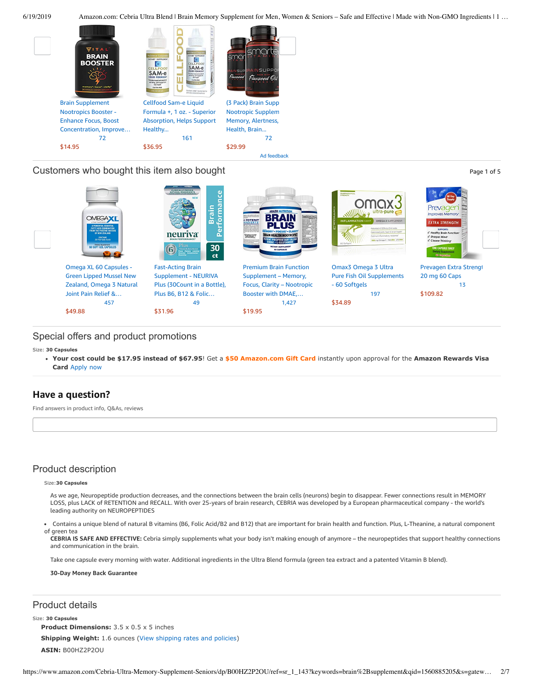

[49](https://www.amazon.com/product-reviews/B07PBZRDJN/ref=pd_sim_121_cr_2/143-6729050-3493109?ie=UTF8&pd_rd_i=B07PBZRDJN&pd_rd_r=edc36e30-92be-11e9-906f-b3c397131e39&pd_rd_w=pnOpE&pd_rd_wg=Ajadk&pf_rd_p=90485860-83e9-4fd9-b838-b28a9b7fda30&pf_rd_r=KTPH5MY0MDRZQPMXNP18&refRID=KTPH5MY0MDRZQPMXNP18)

[\\$31.96](https://www.amazon.com/Fast-Acting-Brain-Supplement-Performance-Concentration/dp/B07PBZRDJN/ref=pd_sim_121_2/143-6729050-3493109?_encoding=UTF8&pd_rd_i=B07PBZRDJN&pd_rd_r=edc36e30-92be-11e9-906f-b3c397131e39&pd_rd_w=pnOpE&pd_rd_wg=Ajadk&pf_rd_p=90485860-83e9-4fd9-b838-b28a9b7fda30&pf_rd_r=KTPH5MY0MDRZQPMXNP18&psc=1&refRID=KTPH5MY0MDRZQPMXNP18)

## Customers who bought this item also bought **Page 1 of 5** of 5

**Brain Forma** revage BRA å neuriva 30  $(6)$ ct Omega XL 60 [Capsules](https://www.amazon.com/OmegaXL%C2%AE-Count-Supplement-INFLAMMATION-Aftertaste/dp/B009P6632O/ref=pd_sim_121_1/143-6729050-3493109?_encoding=UTF8&pd_rd_i=B009P6632O&pd_rd_r=edc36e30-92be-11e9-906f-b3c397131e39&pd_rd_w=pnOpE&pd_rd_wg=Ajadk&pf_rd_p=90485860-83e9-4fd9-b838-b28a9b7fda30&pf_rd_r=KTPH5MY0MDRZQPMXNP18&psc=1&refRID=KTPH5MY0MDRZQPMXNP18) - Fast-Acting Brain Premium Brain Function Omax3 Omega 3 Ultra [Prevagen](https://www.amazon.com/Prevagen-Extra-Strength-20-Caps/dp/B07HD3KV22/ref=pd_sim_121_5/143-6729050-3493109?_encoding=UTF8&pd_rd_i=B07HD3KV22&pd_rd_r=edc36e30-92be-11e9-906f-b3c397131e39&pd_rd_w=pnOpE&pd_rd_wg=Ajadk&pf_rd_p=90485860-83e9-4fd9-b838-b28a9b7fda30&pf_rd_r=KTPH5MY0MDRZQPMXNP18&psc=1&refRID=KTPH5MY0MDRZQPMXNP18) Extra Strengt Green Lipped Mussel New [Supplement](https://www.amazon.com/Fast-Acting-Brain-Supplement-Performance-Concentration/dp/B07PBZRDJN/ref=pd_sim_121_2/143-6729050-3493109?_encoding=UTF8&pd_rd_i=B07PBZRDJN&pd_rd_r=edc36e30-92be-11e9-906f-b3c397131e39&pd_rd_w=pnOpE&pd_rd_wg=Ajadk&pf_rd_p=90485860-83e9-4fd9-b838-b28a9b7fda30&pf_rd_r=KTPH5MY0MDRZQPMXNP18&psc=1&refRID=KTPH5MY0MDRZQPMXNP18) - NEURIVA [Supplement](https://www.amazon.com/Premium-Brain-Function-Supplement-L-Glutamine/dp/B01GV4IC4Y/ref=pd_sim_121_3/143-6729050-3493109?_encoding=UTF8&pd_rd_i=B01GV4IC4Y&pd_rd_r=edc36e30-92be-11e9-906f-b3c397131e39&pd_rd_w=pnOpE&pd_rd_wg=Ajadk&pf_rd_p=90485860-83e9-4fd9-b838-b28a9b7fda30&pf_rd_r=KTPH5MY0MDRZQPMXNP18&psc=1&refRID=KTPH5MY0MDRZQPMXNP18) – Memory, Pure Fish Oil [Supplements](https://www.amazon.com/Ultra-Pure-Supplement-Burpless-High-Concentrate-Strength/dp/B005T4S432/ref=pd_sim_121_4/143-6729050-3493109?_encoding=UTF8&pd_rd_i=B005T4S432&pd_rd_r=edc36e30-92be-11e9-906f-b3c397131e39&pd_rd_w=pnOpE&pd_rd_wg=Ajadk&pf_rd_p=90485860-83e9-4fd9-b838-b28a9b7fda30&pf_rd_r=KTPH5MY0MDRZQPMXNP18&psc=1&refRID=KTPH5MY0MDRZQPMXNP18) 20 mg 60 Caps Zealand, Omega 3 Natural Focus, Clarity – Nootropic Plus (30Count in a Bottle), - 60 Softgels [13](https://www.amazon.com/product-reviews/B07HD3KV22/ref=pd_sim_121_cr_5/143-6729050-3493109?ie=UTF8&pd_rd_i=B07HD3KV22&pd_rd_r=edc36e30-92be-11e9-906f-b3c397131e39&pd_rd_w=pnOpE&pd_rd_wg=Ajadk&pf_rd_p=90485860-83e9-4fd9-b838-b28a9b7fda30&pf_rd_r=KTPH5MY0MDRZQPMXNP18&refRID=KTPH5MY0MDRZQPMXNP18) Joint Pain Relief &… Plus B6, B12 & Folic… Booster with DMAE,… [197](https://www.amazon.com/product-reviews/B005T4S432/ref=pd_sim_121_cr_4/143-6729050-3493109?ie=UTF8&pd_rd_i=B005T4S432&pd_rd_r=edc36e30-92be-11e9-906f-b3c397131e39&pd_rd_w=pnOpE&pd_rd_wg=Ajadk&pf_rd_p=90485860-83e9-4fd9-b838-b28a9b7fda30&pf_rd_r=KTPH5MY0MDRZQPMXNP18&refRID=KTPH5MY0MDRZQPMXNP18) [\\$109.82](https://www.amazon.com/Prevagen-Extra-Strength-20-Caps/dp/B07HD3KV22/ref=pd_sim_121_5/143-6729050-3493109?_encoding=UTF8&pd_rd_i=B07HD3KV22&pd_rd_r=edc36e30-92be-11e9-906f-b3c397131e39&pd_rd_w=pnOpE&pd_rd_wg=Ajadk&pf_rd_p=90485860-83e9-4fd9-b838-b28a9b7fda30&pf_rd_r=KTPH5MY0MDRZQPMXNP18&psc=1&refRID=KTPH5MY0MDRZQPMXNP18)

[1,427](https://www.amazon.com/product-reviews/B01GV4IC4Y/ref=pd_sim_121_cr_3/143-6729050-3493109?ie=UTF8&pd_rd_i=B01GV4IC4Y&pd_rd_r=edc36e30-92be-11e9-906f-b3c397131e39&pd_rd_w=pnOpE&pd_rd_wg=Ajadk&pf_rd_p=90485860-83e9-4fd9-b838-b28a9b7fda30&pf_rd_r=KTPH5MY0MDRZQPMXNP18&refRID=KTPH5MY0MDRZQPMXNP18)

[\\$34.89](https://www.amazon.com/Ultra-Pure-Supplement-Burpless-High-Concentrate-Strength/dp/B005T4S432/ref=pd_sim_121_4/143-6729050-3493109?_encoding=UTF8&pd_rd_i=B005T4S432&pd_rd_r=edc36e30-92be-11e9-906f-b3c397131e39&pd_rd_w=pnOpE&pd_rd_wg=Ajadk&pf_rd_p=90485860-83e9-4fd9-b838-b28a9b7fda30&pf_rd_r=KTPH5MY0MDRZQPMXNP18&psc=1&refRID=KTPH5MY0MDRZQPMXNP18)

## Special offers and product promotions

[457](https://www.amazon.com/product-reviews/B009P6632O/ref=pd_sim_121_cr_1/143-6729050-3493109?ie=UTF8&pd_rd_i=B009P6632O&pd_rd_r=edc36e30-92be-11e9-906f-b3c397131e39&pd_rd_w=pnOpE&pd_rd_wg=Ajadk&pf_rd_p=90485860-83e9-4fd9-b838-b28a9b7fda30&pf_rd_r=KTPH5MY0MDRZQPMXNP18&refRID=KTPH5MY0MDRZQPMXNP18)

Size: **30 Capsules**

**[Your cost could be \\$17.95 instead of \\$67.95](https://www.amazon.com/gp/cobrandcard/marketing.html?pr=con321&inc=50gcUnrec&ts=6zu5phjnuxohs8bh7vbt02w7d51cwuf&dasin=B00HZ2P2OU&plattr=math&place=detailpage&imp=7b5ed28a-4a4b-4e64-8ff5-3fa88479f6c1)**! Get a **\$50 Amazon.com Gift Card** instantly upon approval for the **Amazon Rewards Visa Card** Apply now

[\\$19.95](https://www.amazon.com/Premium-Brain-Function-Supplement-L-Glutamine/dp/B01GV4IC4Y/ref=pd_sim_121_3/143-6729050-3493109?_encoding=UTF8&pd_rd_i=B01GV4IC4Y&pd_rd_r=edc36e30-92be-11e9-906f-b3c397131e39&pd_rd_w=pnOpE&pd_rd_wg=Ajadk&pf_rd_p=90485860-83e9-4fd9-b838-b28a9b7fda30&pf_rd_r=KTPH5MY0MDRZQPMXNP18&psc=1&refRID=KTPH5MY0MDRZQPMXNP18)

## **Have a question?**

[\\$49.88](https://www.amazon.com/OmegaXL%C2%AE-Count-Supplement-INFLAMMATION-Aftertaste/dp/B009P6632O/ref=pd_sim_121_1/143-6729050-3493109?_encoding=UTF8&pd_rd_i=B009P6632O&pd_rd_r=edc36e30-92be-11e9-906f-b3c397131e39&pd_rd_w=pnOpE&pd_rd_wg=Ajadk&pf_rd_p=90485860-83e9-4fd9-b838-b28a9b7fda30&pf_rd_r=KTPH5MY0MDRZQPMXNP18&psc=1&refRID=KTPH5MY0MDRZQPMXNP18)

Find answers in product info, Q&As, reviews

## Product description

### Size:**30 Capsules**

As we age, Neuropeptide production decreases, and the connections between the brain cells (neurons) begin to disappear. Fewer connections result in MEMORY LOSS, plus LACK of RETENTION and RECALL. With over 25-years of brain research, CEBRIA was developed by a European pharmaceutical company - the world's leading authority on NEUROPEPTIDES

Contains a unique blend of natural B vitamins (B6, Folic Acid/B2 and B12) that are important for brain health and function. Plus, L-Theanine, a natural component of green tea

**CEBRIA IS SAFE AND EFFECTIVE:** Cebria simply supplements what your body isn't making enough of anymore – the neuropeptides that support healthy connections and communication in the brain.

Take one capsule every morning with water. Additional ingredients in the Ultra Blend formula (green tea extract and a patented Vitamin B blend).

**30-Day Money Back Guarantee**

## Product details

Size: **30 Capsules**

**Product Dimensions:** 3.5 x 0.5 x 5 inches **Shipping Weight:** 1.6 ounces [\(View shipping rates and policies\)](https://www.amazon.com/gp/help/seller/shipping.html/ref=dp_pd_shipping?ie=UTF8&asin=B00HZ2P2OU&seller=ATVPDKIKX0DER) **ASIN:** B00HZ2P2OU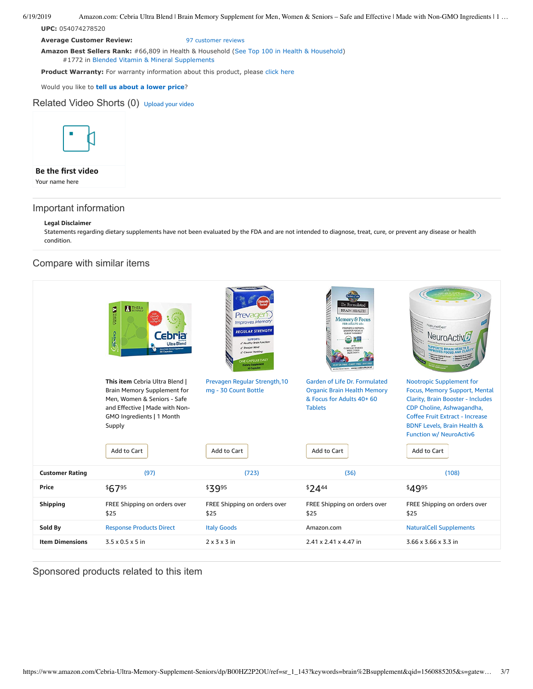**UPC:** 054074278520

**Average Customer Review:** [97 customer reviews](https://www.amazon.com/product-reviews/B00HZ2P2OU/ref=acr_dpproductdetail_text?ie=UTF8&showViewpoints=1)

**Amazon Best Sellers Rank:** #66,809 in Health & Household ([See Top 100 in Health & Household\)](https://www.amazon.com/gp/bestsellers/hpc/ref=pd_zg_ts_hpc) #1772 in [Blended Vitamin & Mineral Supplements](https://www.amazon.com/gp/bestsellers/hpc/3773931/ref=pd_zg_hrsr_hpc)

**Product Warranty:** For warranty information about this product, please [click here](https://www.amazon.com/gp/feature.html/ref=dp_warranty_request_3P?ie=UTF8&docId=1002406021)

Would you like to **tell us about a lower price**?

Related Video Shorts (0) [Upload](https://www.amazon.com/creatorhub/video/upload?productASIN=B00HZ2P2OU&referringURL=ZHAvQjAwSFoyUDJPVQ%3D%3D&ref=RVSW) your video



### **Be the first video**

Your name here

## Important information

### **Legal Disclaimer**

Statements regarding dietary supplements have not been evaluated by the FDA and are not intended to diagnose, treat, cure, or prevent any disease or health condition.

## Compare with similar items

|                        | <b>BUTHERA</b><br><b>BRITTE</b><br><b>Cebria</b><br>cbria<br><b>Ultra Blend</b><br>Once Daily Dieta<br>30 Capsules                                                                          | Prevagen<br><b>Improves Memory</b><br><b>REGULAR STRENGTH</b><br>SUPPORTS:<br>/ Healthy Brain Function<br>Sharper Mind-<br>Clearer Thinking<br><b>IE CAPSULE DAILY</b><br><b>Dietary Supplement</b><br>30 Capsules | <b>RANCHER</b><br>Dr. Formulated<br><b>BRAIN HEALTH</b><br>Memory & Focus<br>PROMOTES MEMORY,<br>SHARPER FOCUS &<br>CLEAR THINKING"<br><b>CLINICALLY STUDIED</b><br>WHOLE FOOD<br>COCE . DAIRY FREE - SOY<br>VECETATION TABLETS WHOLE FOOD SUPPLEMENT | NaturalCell*<br>Neuro∆c                                                                                                                                                                                                                                                 |  |
|------------------------|---------------------------------------------------------------------------------------------------------------------------------------------------------------------------------------------|--------------------------------------------------------------------------------------------------------------------------------------------------------------------------------------------------------------------|-------------------------------------------------------------------------------------------------------------------------------------------------------------------------------------------------------------------------------------------------------|-------------------------------------------------------------------------------------------------------------------------------------------------------------------------------------------------------------------------------------------------------------------------|--|
|                        | This item Cebria Ultra Blend  <br><b>Brain Memory Supplement for</b><br>Men, Women & Seniors - Safe<br>and Effective   Made with Non-<br>GMO Ingredients   1 Month<br>Supply<br>Add to Cart | Prevagen Regular Strength, 10<br>mg - 30 Count Bottle<br>Add to Cart                                                                                                                                               | Garden of Life Dr. Formulated<br><b>Organic Brain Health Memory</b><br>& Focus for Adults 40+ 60<br><b>Tablets</b><br>Add to Cart                                                                                                                     | <b>Nootropic Supplement for</b><br>Focus, Memory Support, Mental<br><b>Clarity, Brain Booster - Includes</b><br>CDP Choline, Ashwagandha,<br>Coffee Fruit Extract - Increase<br><b>BDNF Levels, Brain Health &amp;</b><br><b>Function w/ NeuroActiv6</b><br>Add to Cart |  |
| <b>Customer Rating</b> | (97)                                                                                                                                                                                        | (723)                                                                                                                                                                                                              | (36)                                                                                                                                                                                                                                                  | (108)                                                                                                                                                                                                                                                                   |  |
| Price                  | \$6795                                                                                                                                                                                      | \$3995                                                                                                                                                                                                             | $$24^{44}$                                                                                                                                                                                                                                            | \$4995                                                                                                                                                                                                                                                                  |  |
| <b>Shipping</b>        | FREE Shipping on orders over                                                                                                                                                                | FREE Shipping on orders over                                                                                                                                                                                       | FREE Shipping on orders over                                                                                                                                                                                                                          | FREE Shipping on orders over                                                                                                                                                                                                                                            |  |
|                        | \$25                                                                                                                                                                                        | \$25                                                                                                                                                                                                               | \$25                                                                                                                                                                                                                                                  | \$25                                                                                                                                                                                                                                                                    |  |
| Sold By                | <b>Response Products Direct</b>                                                                                                                                                             | <b>Italy Goods</b>                                                                                                                                                                                                 | Amazon.com                                                                                                                                                                                                                                            | <b>NaturalCell Supplements</b>                                                                                                                                                                                                                                          |  |
| <b>Item Dimensions</b> | $3.5 \times 0.5 \times 5$ in                                                                                                                                                                | $2 \times 3 \times 3$ in                                                                                                                                                                                           | 2.41 x 2.41 x 4.47 in                                                                                                                                                                                                                                 | 3.66 x 3.66 x 3.3 in                                                                                                                                                                                                                                                    |  |

### Sponsored products related to this item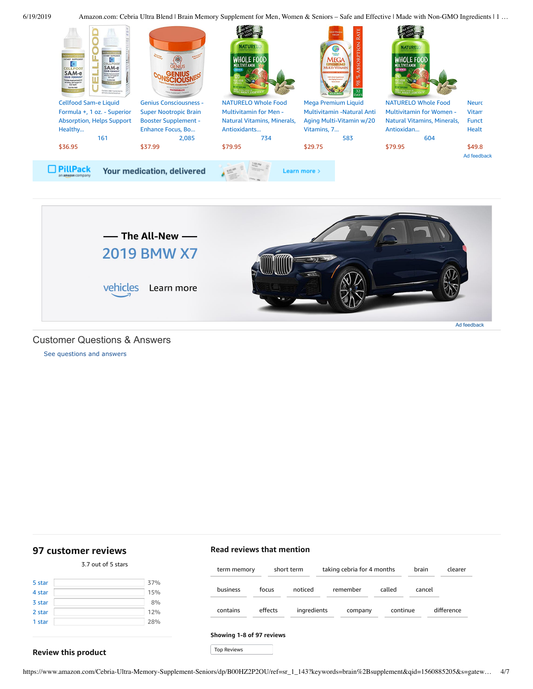



<span id="page-3-1"></span>Customer Questions & Answers

[See questions and answers](https://www.amazon.com/ask/questions/asin/B00HZ2P2OU/ref=cm_cd_dp_lla_ql_ll)

# <span id="page-3-0"></span>**[97 customer](https://www.amazon.com/Cebria-Ultra-Memory-Supplement-Seniors/product-reviews/B00HZ2P2OU/ref=cm_cr_dp_d_show_all_top?ie=UTF8&reviewerType=all_reviews) reviews**

# 5 [star](https://www.amazon.com/Cebria-Ultra-Memory-Supplement-Seniors/product-reviews/B00HZ2P2OU/ref=cm_cr_dp_d_hist_5?ie=UTF8&filterByStar=five_star&reviewerType=all_reviews#reviews-filter-bar) [37%](https://www.amazon.com/Cebria-Ultra-Memory-Supplement-Seniors/product-reviews/B00HZ2P2OU/ref=cm_cr_dp_d_hist_5?ie=UTF8&filterByStar=five_star&reviewerType=all_reviews#reviews-filter-bar) 4 [star](https://www.amazon.com/Cebria-Ultra-Memory-Supplement-Seniors/product-reviews/B00HZ2P2OU/ref=cm_cr_dp_d_hist_4?ie=UTF8&filterByStar=four_star&reviewerType=all_reviews#reviews-filter-bar) [15%](https://www.amazon.com/Cebria-Ultra-Memory-Supplement-Seniors/product-reviews/B00HZ2P2OU/ref=cm_cr_dp_d_hist_4?ie=UTF8&filterByStar=four_star&reviewerType=all_reviews#reviews-filter-bar)  $3 star$  $3 star$  [8%](https://www.amazon.com/Cebria-Ultra-Memory-Supplement-Seniors/product-reviews/B00HZ2P2OU/ref=cm_cr_dp_d_hist_3?ie=UTF8&filterByStar=three_star&reviewerType=all_reviews#reviews-filter-bar) 2 [star](https://www.amazon.com/Cebria-Ultra-Memory-Supplement-Seniors/product-reviews/B00HZ2P2OU/ref=cm_cr_dp_d_hist_2?ie=UTF8&filterByStar=two_star&reviewerType=all_reviews#reviews-filter-bar) [12%](https://www.amazon.com/Cebria-Ultra-Memory-Supplement-Seniors/product-reviews/B00HZ2P2OU/ref=cm_cr_dp_d_hist_2?ie=UTF8&filterByStar=two_star&reviewerType=all_reviews#reviews-filter-bar) 1 [star](https://www.amazon.com/Cebria-Ultra-Memory-Supplement-Seniors/product-reviews/B00HZ2P2OU/ref=cm_cr_dp_d_hist_1?ie=UTF8&filterByStar=one_star&reviewerType=all_reviews#reviews-filter-bar) [28%](https://www.amazon.com/Cebria-Ultra-Memory-Supplement-Seniors/product-reviews/B00HZ2P2OU/ref=cm_cr_dp_d_hist_1?ie=UTF8&filterByStar=one_star&reviewerType=all_reviews#reviews-filter-bar)

3.7 out of 5 [stars](javascript:void(0))

# **Read reviews that mention** term [memory](https://www.amazon.com/Cebria-Ultra-Memory-Supplement-Seniors/product-reviews/B00HZ2P2OU/ref=cm_cr_dp_d_lh_0?ie=UTF8&filterByKeyword=term+memory&pageNumber=1&reviewerType=all_reviews#reviews-filter-bar) [short](https://www.amazon.com/Cebria-Ultra-Memory-Supplement-Seniors/product-reviews/B00HZ2P2OU/ref=cm_cr_dp_d_lh_1?ie=UTF8&filterByKeyword=short+term&pageNumber=1&reviewerType=all_reviews#reviews-filter-bar) term taking cebria for 4 [months](https://www.amazon.com/Cebria-Ultra-Memory-Supplement-Seniors/product-reviews/B00HZ2P2OU/ref=cm_cr_dp_d_lh_2?ie=UTF8&filterByKeyword=taking+cebria+for+4+months&pageNumber=1&reviewerType=all_reviews#reviews-filter-bar) [brain](https://www.amazon.com/Cebria-Ultra-Memory-Supplement-Seniors/product-reviews/B00HZ2P2OU/ref=cm_cr_dp_d_lh_3?ie=UTF8&filterByKeyword=brain&pageNumber=1&reviewerType=all_reviews#reviews-filter-bar) [clearer](https://www.amazon.com/Cebria-Ultra-Memory-Supplement-Seniors/product-reviews/B00HZ2P2OU/ref=cm_cr_dp_d_lh_4?ie=UTF8&filterByKeyword=clearer&pageNumber=1&reviewerType=all_reviews#reviews-filter-bar) [business](https://www.amazon.com/Cebria-Ultra-Memory-Supplement-Seniors/product-reviews/B00HZ2P2OU/ref=cm_cr_dp_d_lh_5?ie=UTF8&filterByKeyword=business&pageNumber=1&reviewerType=all_reviews#reviews-filter-bar) [focus](https://www.amazon.com/Cebria-Ultra-Memory-Supplement-Seniors/product-reviews/B00HZ2P2OU/ref=cm_cr_dp_d_lh_6?ie=UTF8&filterByKeyword=focus&pageNumber=1&reviewerType=all_reviews#reviews-filter-bar) [noticed](https://www.amazon.com/Cebria-Ultra-Memory-Supplement-Seniors/product-reviews/B00HZ2P2OU/ref=cm_cr_dp_d_lh_7?ie=UTF8&filterByKeyword=noticed&pageNumber=1&reviewerType=all_reviews#reviews-filter-bar) [remember](https://www.amazon.com/Cebria-Ultra-Memory-Supplement-Seniors/product-reviews/B00HZ2P2OU/ref=cm_cr_dp_d_lh_8?ie=UTF8&filterByKeyword=remember&pageNumber=1&reviewerType=all_reviews#reviews-filter-bar) [called](https://www.amazon.com/Cebria-Ultra-Memory-Supplement-Seniors/product-reviews/B00HZ2P2OU/ref=cm_cr_dp_d_lh_9?ie=UTF8&filterByKeyword=called&pageNumber=1&reviewerType=all_reviews#reviews-filter-bar) [cancel](https://www.amazon.com/Cebria-Ultra-Memory-Supplement-Seniors/product-reviews/B00HZ2P2OU/ref=cm_cr_dp_d_lh_10?ie=UTF8&filterByKeyword=cancel&pageNumber=1&reviewerType=all_reviews#reviews-filter-bar) [contains](https://www.amazon.com/Cebria-Ultra-Memory-Supplement-Seniors/product-reviews/B00HZ2P2OU/ref=cm_cr_dp_d_lh_11?ie=UTF8&filterByKeyword=contains&pageNumber=1&reviewerType=all_reviews#reviews-filter-bar) [effects](https://www.amazon.com/Cebria-Ultra-Memory-Supplement-Seniors/product-reviews/B00HZ2P2OU/ref=cm_cr_dp_d_lh_12?ie=UTF8&filterByKeyword=effects&pageNumber=1&reviewerType=all_reviews#reviews-filter-bar) [ingredients](https://www.amazon.com/Cebria-Ultra-Memory-Supplement-Seniors/product-reviews/B00HZ2P2OU/ref=cm_cr_dp_d_lh_13?ie=UTF8&filterByKeyword=ingredients&pageNumber=1&reviewerType=all_reviews#reviews-filter-bar) [company](https://www.amazon.com/Cebria-Ultra-Memory-Supplement-Seniors/product-reviews/B00HZ2P2OU/ref=cm_cr_dp_d_lh_14?ie=UTF8&filterByKeyword=company&pageNumber=1&reviewerType=all_reviews#reviews-filter-bar) [continue](https://www.amazon.com/Cebria-Ultra-Memory-Supplement-Seniors/product-reviews/B00HZ2P2OU/ref=cm_cr_dp_d_lh_15?ie=UTF8&filterByKeyword=continue&pageNumber=1&reviewerType=all_reviews#reviews-filter-bar) [difference](https://www.amazon.com/Cebria-Ultra-Memory-Supplement-Seniors/product-reviews/B00HZ2P2OU/ref=cm_cr_dp_d_lh_16?ie=UTF8&filterByKeyword=difference&pageNumber=1&reviewerType=all_reviews#reviews-filter-bar) **Showing 1-8 of 97 reviews**

### **Review this product**

https://www.amazon.com/Cebria-Ultra-Memory-Supplement-Seniors/dp/B00HZ2P2OU/ref=sr\_1\_143?keywords=brain%2Bsupplement&qid=1560885205&s=gatew… 4/7

Top Reviews Top Reviews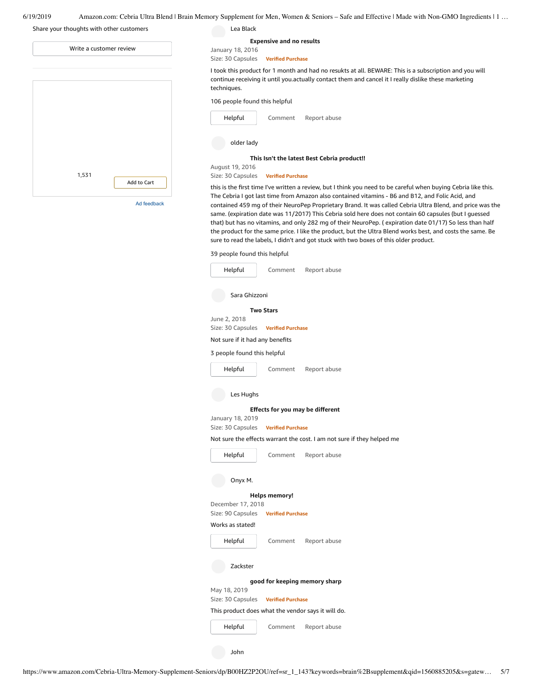| 6/19/2019 | Amazon.com: Cebria Ultra Blend   Brain Memory Supplement for Men. Women & Seniors – Safe and Effective   Made with Non-GMO Ingredients   1 |  |  |
|-----------|--------------------------------------------------------------------------------------------------------------------------------------------|--|--|
|           |                                                                                                                                            |  |  |

## Share your thoughts with other customers

| Write a customer review |             |  |  |  |
|-------------------------|-------------|--|--|--|
|                         |             |  |  |  |
|                         |             |  |  |  |
|                         |             |  |  |  |
|                         |             |  |  |  |
|                         |             |  |  |  |
|                         |             |  |  |  |
|                         |             |  |  |  |
| 1,531                   | Add to Cart |  |  |  |
|                         |             |  |  |  |

Ad feedback

|                                      |                                 | . 11 . Supplement for Men, Women & Seniors – Safe and Effective   Made with Non-GMO Ingredients   1                                                                                                                                                                                                                                                                                                                                                                                                                                                                                                                                                                                                                                                        |
|--------------------------------------|---------------------------------|------------------------------------------------------------------------------------------------------------------------------------------------------------------------------------------------------------------------------------------------------------------------------------------------------------------------------------------------------------------------------------------------------------------------------------------------------------------------------------------------------------------------------------------------------------------------------------------------------------------------------------------------------------------------------------------------------------------------------------------------------------|
| Lea Black                            |                                 |                                                                                                                                                                                                                                                                                                                                                                                                                                                                                                                                                                                                                                                                                                                                                            |
|                                      | <b>Expensive and no results</b> |                                                                                                                                                                                                                                                                                                                                                                                                                                                                                                                                                                                                                                                                                                                                                            |
| January 18, 2016                     |                                 |                                                                                                                                                                                                                                                                                                                                                                                                                                                                                                                                                                                                                                                                                                                                                            |
| Size: 30 Capsules                    | <b>Verified Purchase</b>        |                                                                                                                                                                                                                                                                                                                                                                                                                                                                                                                                                                                                                                                                                                                                                            |
| techniques.                          |                                 | I took this product for 1 month and had no resukts at all. BEWARE: This is a subscription and you will<br>continue receiving it until you.actually contact them and cancel it I really dislike these marketing                                                                                                                                                                                                                                                                                                                                                                                                                                                                                                                                             |
| 106 people found this helpful        |                                 |                                                                                                                                                                                                                                                                                                                                                                                                                                                                                                                                                                                                                                                                                                                                                            |
| Helpful                              | Comment                         | Report abuse                                                                                                                                                                                                                                                                                                                                                                                                                                                                                                                                                                                                                                                                                                                                               |
| older lady                           |                                 |                                                                                                                                                                                                                                                                                                                                                                                                                                                                                                                                                                                                                                                                                                                                                            |
|                                      |                                 | This Isn't the latest Best Cebria product!!                                                                                                                                                                                                                                                                                                                                                                                                                                                                                                                                                                                                                                                                                                                |
| August 19, 2016<br>Size: 30 Capsules | <b>Verified Purchase</b>        |                                                                                                                                                                                                                                                                                                                                                                                                                                                                                                                                                                                                                                                                                                                                                            |
|                                      |                                 | this is the first time I've written a review, but I think you need to be careful when buying Cebria like this.<br>The Cebria I got last time from Amazon also contained vitamins - B6 and B12, and Folic Acid, and<br>contained 459 mg of their NeuroPep Proprietary Brand. It was called Cebria Ultra Blend, and price was the<br>same. (expiration date was 11/2017) This Cebria sold here does not contain 60 capsules (but I guessed<br>that) but has no vitamins, and only 282 mg of their NeuroPep. (expiration date 01/17) So less than half<br>the product for the same price. I like the product, but the Ultra Blend works best, and costs the same. Be<br>sure to read the labels, I didn't and got stuck with two boxes of this older product. |
| 39 people found this helpful         |                                 |                                                                                                                                                                                                                                                                                                                                                                                                                                                                                                                                                                                                                                                                                                                                                            |
| Helpful                              | Comment                         | Report abuse                                                                                                                                                                                                                                                                                                                                                                                                                                                                                                                                                                                                                                                                                                                                               |
| Sara Ghizzoni                        |                                 |                                                                                                                                                                                                                                                                                                                                                                                                                                                                                                                                                                                                                                                                                                                                                            |
|                                      | <b>Two Stars</b>                |                                                                                                                                                                                                                                                                                                                                                                                                                                                                                                                                                                                                                                                                                                                                                            |
| June 2, 2018                         |                                 |                                                                                                                                                                                                                                                                                                                                                                                                                                                                                                                                                                                                                                                                                                                                                            |
| Size: 30 Capsules                    | <b>Verified Purchase</b>        |                                                                                                                                                                                                                                                                                                                                                                                                                                                                                                                                                                                                                                                                                                                                                            |
| Not sure if it had any benefits      |                                 |                                                                                                                                                                                                                                                                                                                                                                                                                                                                                                                                                                                                                                                                                                                                                            |
| 3 people found this helpful          |                                 |                                                                                                                                                                                                                                                                                                                                                                                                                                                                                                                                                                                                                                                                                                                                                            |
| Helpful                              | Comment                         | Report abuse                                                                                                                                                                                                                                                                                                                                                                                                                                                                                                                                                                                                                                                                                                                                               |

| Comment | Report abuse |
|---------|--------------|
|---------|--------------|

Les Hughs

### **Effects for you may be [different](https://www.amazon.com/gp/customer-reviews/R3K6KVDPW0J1B4/ref=cm_cr_dp_d_rvw_ttl?ie=UTF8&ASIN=B00HZ2P2OU)**

January 18, 2019 Size: 30 Capsules **Verified Purchase**

Not sure the effects warrant the cost. I am not sure if they helped me

[Helpful](https://www.amazon.com/ap/signin?openid.return_to=https%3A%2F%2Fwww.amazon.com%2Fdp%2FB00HZ2P2OU%2Fref%3Dcm_cr_dp_d_vote_lft%3Fie%3DUTF8%26voteInstanceId%3DR3K6KVDPW0J1B4%26voteValue%3D1%26csrfT%3DggWafZSBwONBAoA15A7ysRK4jsl4HpZTf7ZJY0oAAAABAAAAAF0KfPJyYXcAAAAA%252B4kUEk%252F7iMGR3xPcX6iU%23R3K6KVDPW0J1B4&openid.identity=http%3A%2F%2Fspecs.openid.net%2Fauth%2F2.0%2Fidentifier_select&openid.claimed_id=http%3A%2F%2Fspecs.openid.net%2Fauth%2F2.0%2Fidentifier_select&openid.assoc_handle=usflex&openid.mode=checkid_setup&openid.ns=http%3A%2F%2Fspecs.openid.net%2Fauth%2F2.0)

[Comment](https://www.amazon.com/gp/customer-reviews/R3K6KVDPW0J1B4/ref=cm_cr_dp_d_rvw_btm?ie=UTF8&ASIN=B00HZ2P2OU#wasThisHelpful) [Report](https://www.amazon.com/hz/reviews-render/report-abuse?ie=UTF8&voteDomain=Reviews&ref=cm_cr_dp_d_rvw_hlp&csrfT=ggWafZSBwONBAoA15A7ysRK4jsl4HpZTf7ZJY0oAAAABAAAAAF0KfPJyYXcAAAAA%2B4kUEk%2F7iMGR3xPcX6iU&entityId=R3K6KVDPW0J1B4&sessionId=143-6729050-3493109) abuse

Onyx M.

### **Helps [memory!](https://www.amazon.com/gp/customer-reviews/R3FBG051LUWC1P/ref=cm_cr_dp_d_rvw_ttl?ie=UTF8&ASIN=B00HZ2P2OU)**

December 17, 2018 Size: 90 Capsules **Verified Purchase**

### Works as stated!



### Zackster

**good for keeping [memory](https://www.amazon.com/gp/customer-reviews/R3OK6M2E77YC39/ref=cm_cr_dp_d_rvw_ttl?ie=UTF8&ASIN=B00HZ2P2OU) sharp**

May 18, 2019

### Size: 30 Capsules **Verified Purchase**

This product does what the vendor says it will do.

[Comment](https://www.amazon.com/gp/customer-reviews/R3OK6M2E77YC39/ref=cm_cr_dp_d_rvw_btm?ie=UTF8&ASIN=B00HZ2P2OU#wasThisHelpful) [Report](https://www.amazon.com/hz/reviews-render/report-abuse?ie=UTF8&voteDomain=Reviews&ref=cm_cr_dp_d_rvw_hlp&csrfT=gqmwmCLhXcovgETRicZ2EiQTT3cyDyPqOODesH8AAAABAAAAAF0KfPJyYXcAAAAA%2B4kUEk%2F7iMGR3xPcX6iU&entityId=R3OK6M2E77YC39&sessionId=143-6729050-3493109) abuse [Helpful](https://www.amazon.com/ap/signin?openid.return_to=https%3A%2F%2Fwww.amazon.com%2Fdp%2FB00HZ2P2OU%2Fref%3Dcm_cr_dp_d_vote_lft%3Fie%3DUTF8%26voteInstanceId%3DR3OK6M2E77YC39%26voteValue%3D1%26csrfT%3DgqmwmCLhXcovgETRicZ2EiQTT3cyDyPqOODesH8AAAABAAAAAF0KfPJyYXcAAAAA%252B4kUEk%252F7iMGR3xPcX6iU%23R3OK6M2E77YC39&openid.identity=http%3A%2F%2Fspecs.openid.net%2Fauth%2F2.0%2Fidentifier_select&openid.claimed_id=http%3A%2F%2Fspecs.openid.net%2Fauth%2F2.0%2Fidentifier_select&openid.assoc_handle=usflex&openid.mode=checkid_setup&openid.ns=http%3A%2F%2Fspecs.openid.net%2Fauth%2F2.0)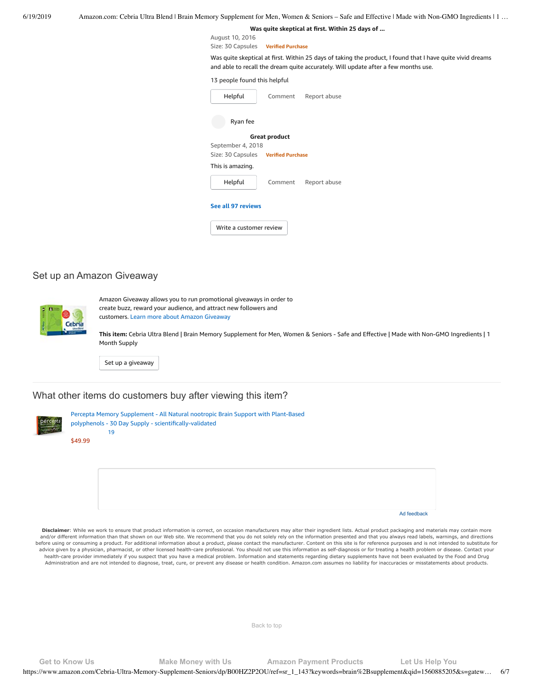**Was quite [skeptical](https://www.amazon.com/gp/customer-reviews/R2WAJE04A50XCV/ref=cm_cr_dp_d_rvw_ttl?ie=UTF8&ASIN=B00HZ2P2OU) at first. Within 25 days of ...**

August 10, 2016 Size: 30 Capsules **Verified Purchase**

Was quite skeptical at first. Within 25 days of taking the product, I found that I have quite vivid dreams and able to recall the dream quite accurately. Will update after a few months use.

### 13 people found this helpful

| Helpful                             | Comment       | Report abuse |  |  |  |
|-------------------------------------|---------------|--------------|--|--|--|
| Ryan fee                            |               |              |  |  |  |
|                                     | Great product |              |  |  |  |
| September 4, 2018                   |               |              |  |  |  |
| Size: 30 Capsules Verified Purchase |               |              |  |  |  |
| This is amazing.                    |               |              |  |  |  |
| Helpful                             | Comment       | Report abuse |  |  |  |
| See all 97 reviews                  |               |              |  |  |  |
| Write a customer review             |               |              |  |  |  |

### Set up an Amazon Giveaway



Amazon Giveaway allows you to run promotional giveaways in order to create buzz, reward your audience, and attract new followers and customers. Learn more about Amazon [Giveaway](https://www.amazon.com/gp/giveaway/home?ref=aga_dp_lm)

**This item:** Cebria Ultra Blend | Brain Memory Supplement for Men, Women & Seniors - Safe and Effective | Made with Non-GMO Ingredients | 1 Month Supply

Set up a [giveaway](https://www.amazon.com/giveaway/host/setup/ref=aga_h_su_dp?_encoding=UTF8&asin=B00HZ2P2OU)

## What other items do customers buy after viewing this item?

| ۰,<br>w. |
|----------|
|          |
|          |
|          |

Percepta Memory Supplement - All Natural nootropic Brain Support with Plant-Based polyphenols - 30 Day Supply - [scientifically-validated](https://www.amazon.com/Percepta-Memory-Supplement-Plant-Based-scientifically-validated/dp/B078T3ZL9L/ref=pd_cp_121_1?pd_rd_w=vv1Zp&pf_rd_p=ef4dc990-a9ca-4945-ae0b-f8d549198ed6&pf_rd_r=KTPH5MY0MDRZQPMXNP18&pd_rd_r=edc36e30-92be-11e9-906f-b3c397131e39&pd_rd_wg=Ajadk&pd_rd_i=B078T3ZL9L&psc=1&refRID=KTPH5MY0MDRZQPMXNP18) [19](https://www.amazon.com/product-reviews/B078T3ZL9L/ref=pd_cp_121_1?pd_rd_w=vv1Zp&pf_rd_p=ef4dc990-a9ca-4945-ae0b-f8d549198ed6&pf_rd_r=KTPH5MY0MDRZQPMXNP18&pd_rd_r=edc36e30-92be-11e9-906f-b3c397131e39&pd_rd_wg=Ajadk&pd_rd_i=B078T3ZL9L&refRID=KTPH5MY0MDRZQPMXNP18)

[\\$49.99](https://www.amazon.com/Percepta-Memory-Supplement-Plant-Based-scientifically-validated/dp/B078T3ZL9L/ref=pd_cp_121_1?pd_rd_w=vv1Zp&pf_rd_p=ef4dc990-a9ca-4945-ae0b-f8d549198ed6&pf_rd_r=KTPH5MY0MDRZQPMXNP18&pd_rd_r=edc36e30-92be-11e9-906f-b3c397131e39&pd_rd_wg=Ajadk&pd_rd_i=B078T3ZL9L&psc=1&refRID=KTPH5MY0MDRZQPMXNP18)

Ad feedback

Disclaimer: While we work to ensure that product information is correct, on occasion manufacturers may alter their ingredient lists. Actual product packaging and materials may contain more and/or different information than that shown on our Web site. We recommend that you do not solely rely on the information presented and that you always read labels, warnings, and directions before using or consuming a product. For additional information about a product, please contact the manufacturer. Content on this site is for reference purposes and is not intended to substitute for advice given by a physician, pharmacist, or other licensed health-care professional. You should not use this information as self-diagnosis or for treating a health problem or disease. Contact your health-care provider immediately if you suspect that you have a medical problem. Information and statements regarding dietary supplements have not been evaluated by the Food and Drug Administration and are not intended to diagnose, treat, cure, or prevent any disease or health condition. Amazon.com assumes no liability for inaccuracies or misstatements about products.

[Back to top](#page-0-0)